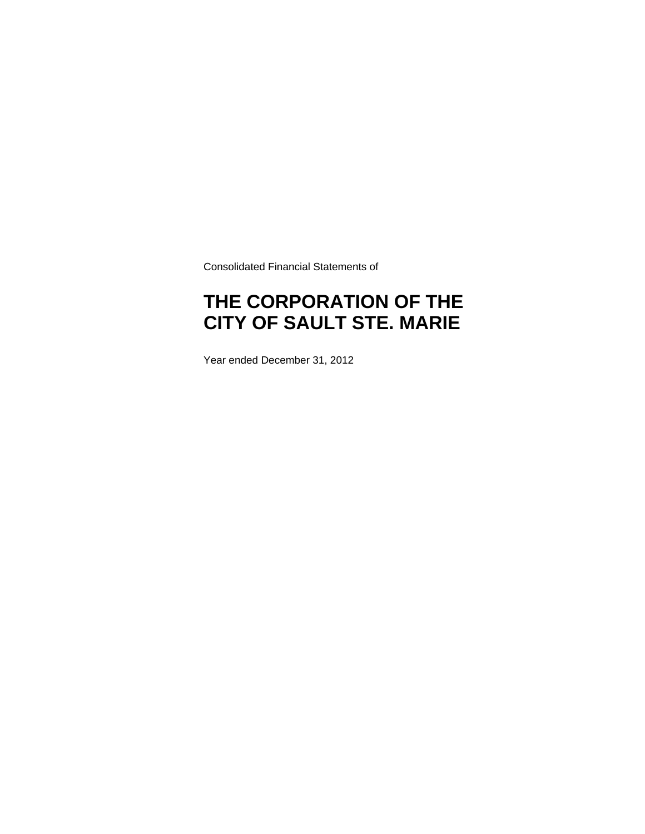Consolidated Financial Statements of

# **THE CORPORATION OF THE CITY OF SAULT STE. MARIE**

Year ended December 31, 2012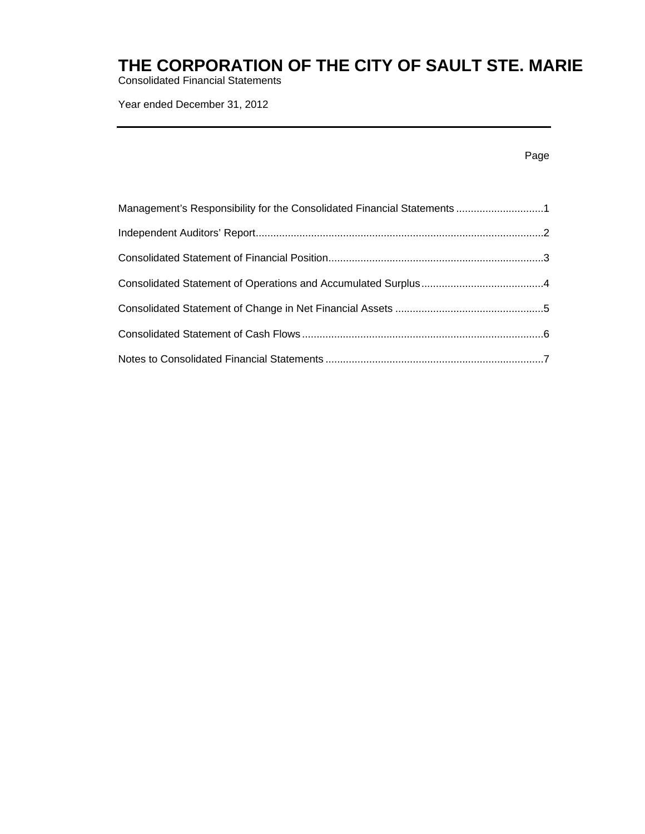Consolidated Financial Statements

Year ended December 31, 2012

| Management's Responsibility for the Consolidated Financial Statements 1 |  |
|-------------------------------------------------------------------------|--|
|                                                                         |  |
|                                                                         |  |
|                                                                         |  |
|                                                                         |  |
|                                                                         |  |
|                                                                         |  |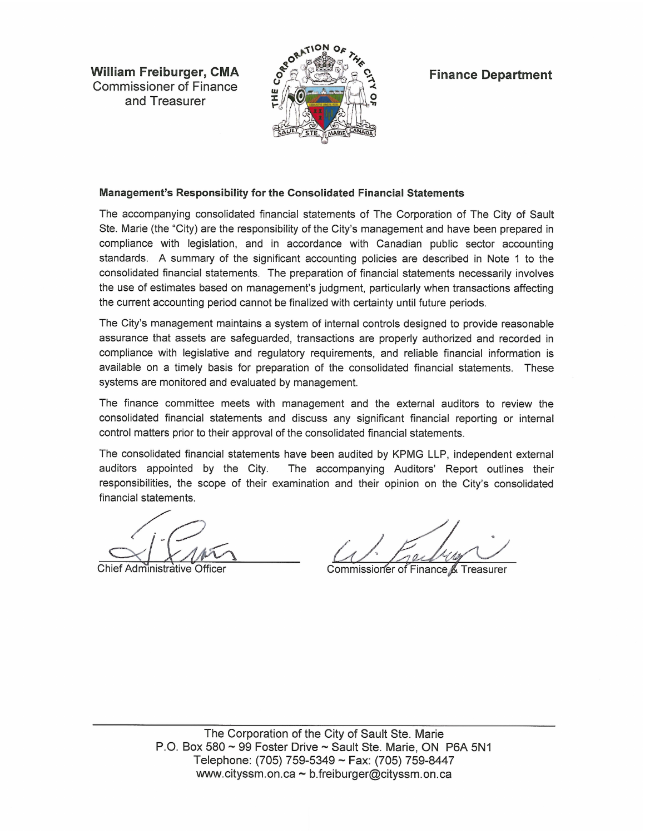**Finance Department** 

**William Freiburger, CMA Commissioner of Finance** and Treasurer



# Management's Responsibility for the Consolidated Financial Statements

The accompanying consolidated financial statements of The Corporation of The City of Sault Ste. Marie (the "City) are the responsibility of the City's management and have been prepared in compliance with legislation, and in accordance with Canadian public sector accounting standards. A summary of the significant accounting policies are described in Note 1 to the consolidated financial statements. The preparation of financial statements necessarily involves the use of estimates based on management's judgment, particularly when transactions affecting the current accounting period cannot be finalized with certainty until future periods.

The City's management maintains a system of internal controls designed to provide reasonable assurance that assets are safeguarded, transactions are properly authorized and recorded in compliance with legislative and regulatory requirements, and reliable financial information is available on a timely basis for preparation of the consolidated financial statements. These systems are monitored and evaluated by management.

The finance committee meets with management and the external auditors to review the consolidated financial statements and discuss any significant financial reporting or internal control matters prior to their approval of the consolidated financial statements.

The consolidated financial statements have been audited by KPMG LLP, independent external auditors appointed by the City. The accompanying Auditors' Report outlines their responsibilities, the scope of their examination and their opinion on the City's consolidated financial statements.

Commissioner of Finance & Treasurer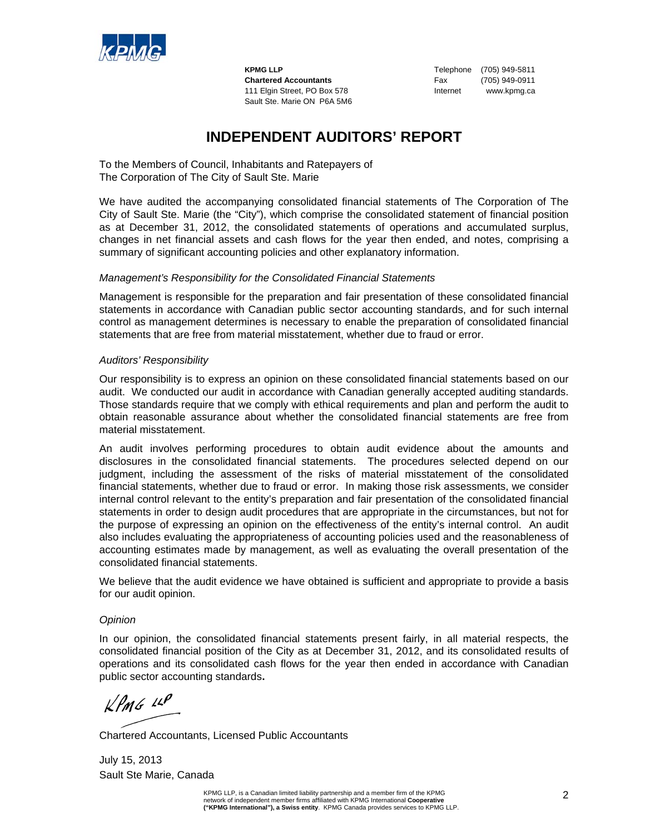

**KPMG LLP** Telephone (705) 949-5811 **Chartered Accountants** Fax (705) 949-0911 111 Elgin Street, PO Box 578 Internet www.kpmg.ca Sault Ste. Marie ON P6A 5M6

# **INDEPENDENT AUDITORS' REPORT**

To the Members of Council, Inhabitants and Ratepayers of The Corporation of The City of Sault Ste. Marie

We have audited the accompanying consolidated financial statements of The Corporation of The City of Sault Ste. Marie (the "City"), which comprise the consolidated statement of financial position as at December 31, 2012, the consolidated statements of operations and accumulated surplus, changes in net financial assets and cash flows for the year then ended, and notes, comprising a summary of significant accounting policies and other explanatory information.

# *Management's Responsibility for the Consolidated Financial Statements*

Management is responsible for the preparation and fair presentation of these consolidated financial statements in accordance with Canadian public sector accounting standards, and for such internal control as management determines is necessary to enable the preparation of consolidated financial statements that are free from material misstatement, whether due to fraud or error.

# *Auditors' Responsibility*

Our responsibility is to express an opinion on these consolidated financial statements based on our audit. We conducted our audit in accordance with Canadian generally accepted auditing standards. Those standards require that we comply with ethical requirements and plan and perform the audit to obtain reasonable assurance about whether the consolidated financial statements are free from material misstatement.

An audit involves performing procedures to obtain audit evidence about the amounts and disclosures in the consolidated financial statements. The procedures selected depend on our judgment, including the assessment of the risks of material misstatement of the consolidated financial statements, whether due to fraud or error. In making those risk assessments, we consider internal control relevant to the entity's preparation and fair presentation of the consolidated financial statements in order to design audit procedures that are appropriate in the circumstances, but not for the purpose of expressing an opinion on the effectiveness of the entity's internal control.An audit also includes evaluating the appropriateness of accounting policies used and the reasonableness of accounting estimates made by management, as well as evaluating the overall presentation of the consolidated financial statements.

We believe that the audit evidence we have obtained is sufficient and appropriate to provide a basis for our audit opinion.

## *Opinion*

In our opinion, the consolidated financial statements present fairly, in all material respects, the consolidated financial position of the City as at December 31, 2012, and its consolidated results of operations and its consolidated cash flows for the year then ended in accordance with Canadian public sector accounting standards**.** 

 $k$ *PMG 14P* 

Chartered Accountants, Licensed Public Accountants

July 15, 2013 Sault Ste Marie, Canada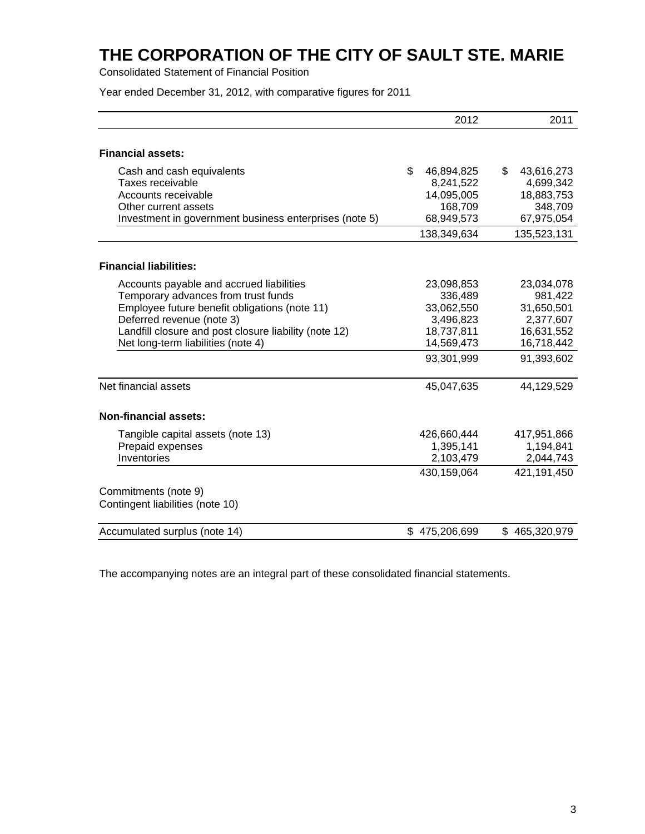Consolidated Statement of Financial Position

Year ended December 31, 2012, with comparative figures for 2011

|                                                                                                                                                                                                                                                              |     | 2012                                                                         | 2011                                                                         |
|--------------------------------------------------------------------------------------------------------------------------------------------------------------------------------------------------------------------------------------------------------------|-----|------------------------------------------------------------------------------|------------------------------------------------------------------------------|
|                                                                                                                                                                                                                                                              |     |                                                                              |                                                                              |
| <b>Financial assets:</b>                                                                                                                                                                                                                                     |     |                                                                              |                                                                              |
| Cash and cash equivalents<br>Taxes receivable<br>Accounts receivable<br>Other current assets<br>Investment in government business enterprises (note 5)                                                                                                       | \$. | 46,894,825<br>8,241,522<br>14,095,005<br>168,709<br>68,949,573               | \$<br>43,616,273<br>4,699,342<br>18,883,753<br>348,709<br>67,975,054         |
|                                                                                                                                                                                                                                                              |     | 138,349,634                                                                  | 135,523,131                                                                  |
| <b>Financial liabilities:</b>                                                                                                                                                                                                                                |     |                                                                              |                                                                              |
| Accounts payable and accrued liabilities<br>Temporary advances from trust funds<br>Employee future benefit obligations (note 11)<br>Deferred revenue (note 3)<br>Landfill closure and post closure liability (note 12)<br>Net long-term liabilities (note 4) |     | 23,098,853<br>336,489<br>33,062,550<br>3,496,823<br>18,737,811<br>14,569,473 | 23,034,078<br>981,422<br>31,650,501<br>2,377,607<br>16,631,552<br>16,718,442 |
|                                                                                                                                                                                                                                                              |     | 93,301,999                                                                   | 91,393,602                                                                   |
| Net financial assets                                                                                                                                                                                                                                         |     | 45,047,635                                                                   | 44,129,529                                                                   |
| <b>Non-financial assets:</b>                                                                                                                                                                                                                                 |     |                                                                              |                                                                              |
| Tangible capital assets (note 13)<br>Prepaid expenses<br>Inventories                                                                                                                                                                                         |     | 426,660,444<br>1,395,141<br>2,103,479<br>430,159,064                         | 417,951,866<br>1,194,841<br>2,044,743<br>421,191,450                         |
| Commitments (note 9)<br>Contingent liabilities (note 10)                                                                                                                                                                                                     |     |                                                                              |                                                                              |
| Accumulated surplus (note 14)                                                                                                                                                                                                                                |     | \$475,206,699                                                                | \$465,320,979                                                                |

The accompanying notes are an integral part of these consolidated financial statements.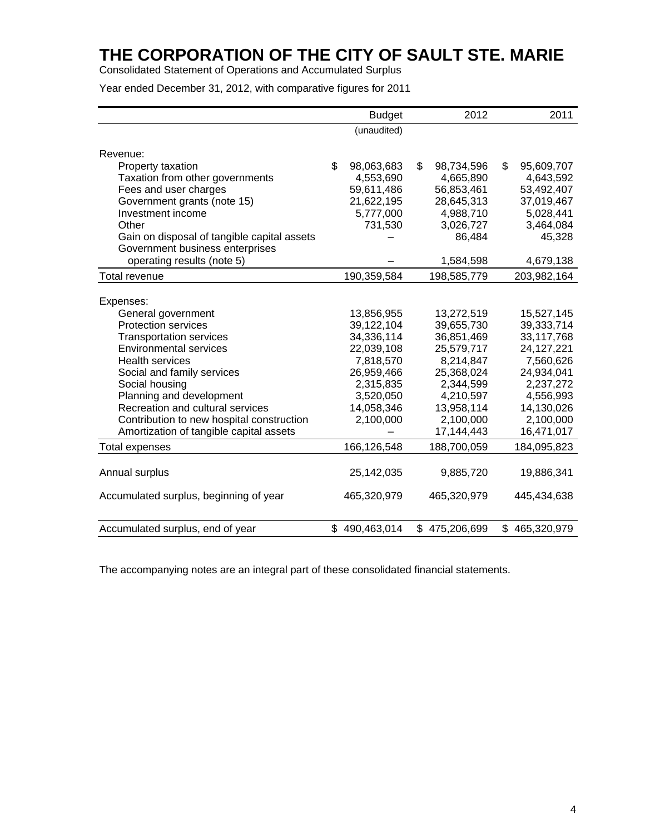Consolidated Statement of Operations and Accumulated Surplus

Year ended December 31, 2012, with comparative figures for 2011

|                                                                                | <b>Budget</b>           | 2012                | 2011                    |
|--------------------------------------------------------------------------------|-------------------------|---------------------|-------------------------|
|                                                                                | (unaudited)             |                     |                         |
| Revenue:                                                                       |                         |                     |                         |
|                                                                                | \$<br>98,063,683        | \$                  | \$<br>95,609,707        |
| Property taxation                                                              |                         | 98,734,596          | 4,643,592               |
| Taxation from other governments                                                | 4,553,690               | 4,665,890           |                         |
| Fees and user charges                                                          | 59,611,486              | 56,853,461          | 53,492,407              |
| Government grants (note 15)<br>Investment income                               | 21,622,195<br>5,777,000 | 28,645,313          | 37,019,467<br>5,028,441 |
| Other                                                                          | 731,530                 | 4,988,710           |                         |
|                                                                                |                         | 3,026,727<br>86,484 | 3,464,084<br>45,328     |
| Gain on disposal of tangible capital assets<br>Government business enterprises |                         |                     |                         |
| operating results (note 5)                                                     |                         | 1,584,598           | 4,679,138               |
|                                                                                |                         |                     |                         |
| Total revenue                                                                  | 190,359,584             | 198,585,779         | 203,982,164             |
|                                                                                |                         |                     |                         |
| Expenses:                                                                      |                         |                     |                         |
| General government<br>Protection services                                      | 13,856,955              | 13,272,519          | 15,527,145              |
|                                                                                | 39,122,104              | 39,655,730          | 39,333,714              |
| <b>Transportation services</b>                                                 | 34,336,114              | 36,851,469          | 33,117,768              |
| <b>Environmental services</b>                                                  | 22,039,108              | 25,579,717          | 24,127,221              |
| <b>Health services</b>                                                         | 7,818,570               | 8,214,847           | 7,560,626               |
| Social and family services                                                     | 26,959,466              | 25,368,024          | 24,934,041              |
| Social housing                                                                 | 2,315,835               | 2,344,599           | 2,237,272               |
| Planning and development                                                       | 3,520,050               | 4,210,597           | 4,556,993               |
| Recreation and cultural services                                               | 14,058,346              | 13,958,114          | 14,130,026              |
| Contribution to new hospital construction                                      | 2,100,000               | 2,100,000           | 2,100,000               |
| Amortization of tangible capital assets                                        |                         | 17,144,443          | 16,471,017              |
| <b>Total expenses</b>                                                          | 166,126,548             | 188,700,059         | 184,095,823             |
|                                                                                |                         |                     |                         |
| Annual surplus                                                                 | 25,142,035              | 9,885,720           | 19,886,341              |
|                                                                                |                         |                     |                         |
| Accumulated surplus, beginning of year                                         | 465,320,979             | 465,320,979         | 445,434,638             |
|                                                                                |                         |                     |                         |
| Accumulated surplus, end of year                                               | \$490,463,014           | \$<br>475,206,699   | \$<br>465,320,979       |

The accompanying notes are an integral part of these consolidated financial statements.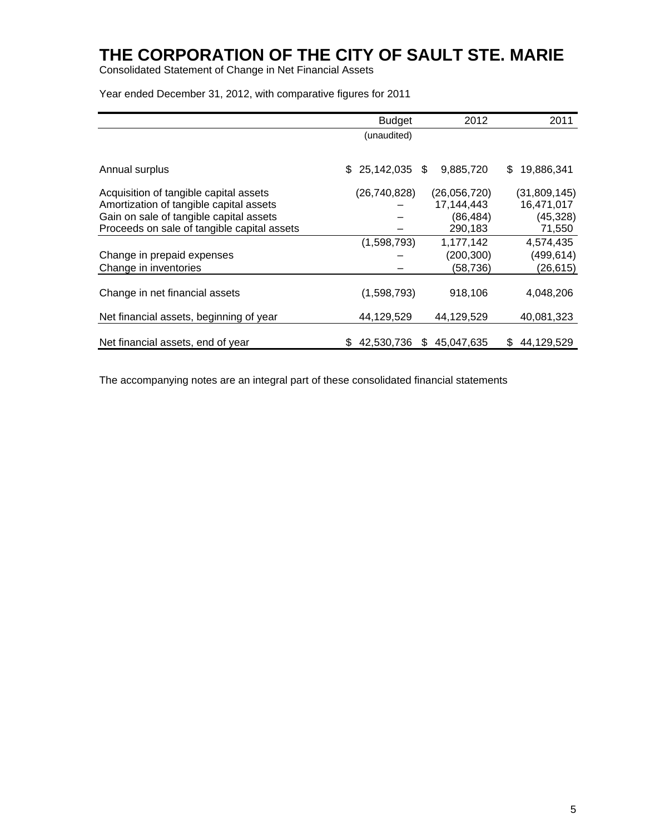Consolidated Statement of Change in Net Financial Assets

Year ended December 31, 2012, with comparative figures for 2011

|                                             | <b>Budget</b>     | 2012            | 2011              |
|---------------------------------------------|-------------------|-----------------|-------------------|
|                                             | (unaudited)       |                 |                   |
|                                             |                   |                 |                   |
| Annual surplus                              | 25,142,035<br>\$. | 9,885,720<br>-S | 19,886,341<br>\$. |
| Acquisition of tangible capital assets      | (26, 740, 828)    | (26,056,720)    | (31,809,145)      |
| Amortization of tangible capital assets     |                   | 17,144,443      | 16,471,017        |
| Gain on sale of tangible capital assets     |                   | (86, 484)       | (45, 328)         |
| Proceeds on sale of tangible capital assets |                   | 290,183         | 71,550            |
|                                             | (1,598,793)       | 1,177,142       | 4,574,435         |
| Change in prepaid expenses                  |                   | (200, 300)      | (499, 614)        |
| Change in inventories                       |                   | (58, 736)       | (26, 615)         |
|                                             |                   |                 |                   |
| Change in net financial assets              | (1,598,793)       | 918,106         | 4,048,206         |
| Net financial assets, beginning of year     | 44,129,529        | 44,129,529      | 40,081,323        |
|                                             |                   |                 |                   |
| Net financial assets, end of year           | 42,530,736<br>\$. | \$45,047,635    | \$44,129,529      |

The accompanying notes are an integral part of these consolidated financial statements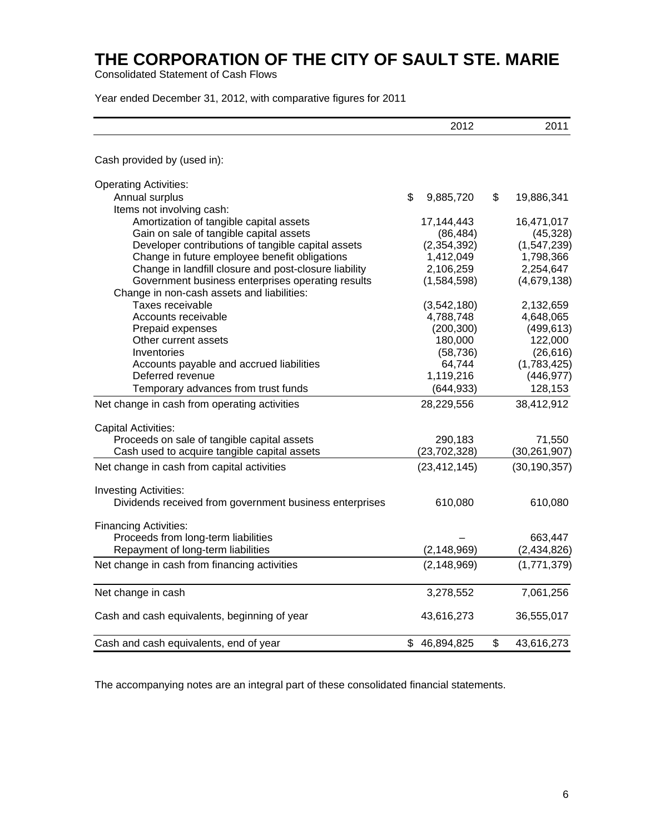Consolidated Statement of Cash Flows

Year ended December 31, 2012, with comparative figures for 2011

|                                                         | 2012            | 2011             |
|---------------------------------------------------------|-----------------|------------------|
| Cash provided by (used in):                             |                 |                  |
| <b>Operating Activities:</b>                            |                 |                  |
| Annual surplus                                          | \$<br>9,885,720 | \$<br>19,886,341 |
| Items not involving cash:                               |                 |                  |
| Amortization of tangible capital assets                 | 17,144,443      | 16,471,017       |
| Gain on sale of tangible capital assets                 | (86, 484)       | (45, 328)        |
| Developer contributions of tangible capital assets      | (2, 354, 392)   | (1,547,239)      |
| Change in future employee benefit obligations           | 1,412,049       | 1,798,366        |
| Change in landfill closure and post-closure liability   | 2,106,259       | 2,254,647        |
| Government business enterprises operating results       | (1,584,598)     | (4,679,138)      |
| Change in non-cash assets and liabilities:              |                 |                  |
| Taxes receivable                                        | (3,542,180)     | 2,132,659        |
| Accounts receivable                                     | 4,788,748       | 4,648,065        |
| Prepaid expenses                                        | (200, 300)      | (499, 613)       |
| Other current assets                                    | 180,000         | 122,000          |
| Inventories                                             | (58, 736)       | (26, 616)        |
| Accounts payable and accrued liabilities                | 64,744          | (1,783,425)      |
| Deferred revenue                                        | 1,119,216       | (446, 977)       |
| Temporary advances from trust funds                     | (644, 933)      | 128,153          |
| Net change in cash from operating activities            | 28,229,556      | 38,412,912       |
| Capital Activities:                                     |                 |                  |
| Proceeds on sale of tangible capital assets             | 290,183         | 71,550           |
| Cash used to acquire tangible capital assets            | (23, 702, 328)  | (30, 261, 907)   |
| Net change in cash from capital activities              | (23, 412, 145)  | (30, 190, 357)   |
|                                                         |                 |                  |
| <b>Investing Activities:</b>                            |                 |                  |
| Dividends received from government business enterprises | 610,080         | 610,080          |
| <b>Financing Activities:</b>                            |                 |                  |
| Proceeds from long-term liabilities                     |                 | 663,447          |
| Repayment of long-term liabilities                      | (2, 148, 969)   | (2,434,826)      |
| Net change in cash from financing activities            | (2, 148, 969)   | (1,771,379)      |
| Net change in cash                                      | 3,278,552       | 7,061,256        |
| Cash and cash equivalents, beginning of year            | 43,616,273      | 36,555,017       |
| Cash and cash equivalents, end of year                  | \$46,894,825    | \$<br>43,616,273 |

The accompanying notes are an integral part of these consolidated financial statements.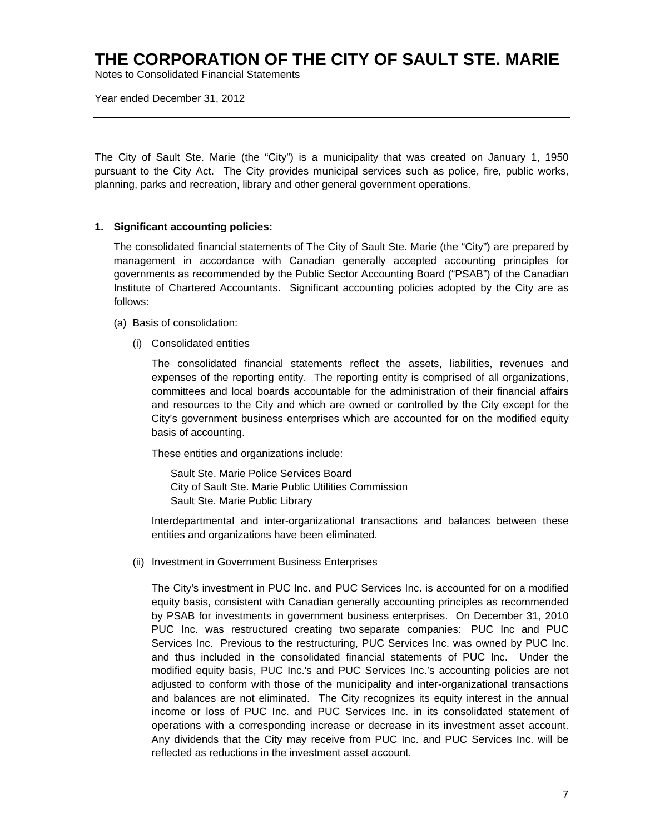Notes to Consolidated Financial Statements

Year ended December 31, 2012

The City of Sault Ste. Marie (the "City") is a municipality that was created on January 1, 1950 pursuant to the City Act. The City provides municipal services such as police, fire, public works, planning, parks and recreation, library and other general government operations.

## **1. Significant accounting policies:**

The consolidated financial statements of The City of Sault Ste. Marie (the "City") are prepared by management in accordance with Canadian generally accepted accounting principles for governments as recommended by the Public Sector Accounting Board ("PSAB") of the Canadian Institute of Chartered Accountants. Significant accounting policies adopted by the City are as follows:

- (a) Basis of consolidation:
	- (i) Consolidated entities

 The consolidated financial statements reflect the assets, liabilities, revenues and expenses of the reporting entity. The reporting entity is comprised of all organizations, committees and local boards accountable for the administration of their financial affairs and resources to the City and which are owned or controlled by the City except for the City's government business enterprises which are accounted for on the modified equity basis of accounting.

These entities and organizations include:

 Sault Ste. Marie Police Services Board City of Sault Ste. Marie Public Utilities Commission Sault Ste. Marie Public Library

 Interdepartmental and inter-organizational transactions and balances between these entities and organizations have been eliminated.

(ii) Investment in Government Business Enterprises

The City's investment in PUC Inc. and PUC Services Inc. is accounted for on a modified equity basis, consistent with Canadian generally accounting principles as recommended by PSAB for investments in government business enterprises. On December 31, 2010 PUC Inc. was restructured creating two separate companies: PUC Inc and PUC Services Inc. Previous to the restructuring, PUC Services Inc. was owned by PUC Inc. and thus included in the consolidated financial statements of PUC Inc. Under the modified equity basis, PUC Inc.'s and PUC Services Inc.'s accounting policies are not adjusted to conform with those of the municipality and inter-organizational transactions and balances are not eliminated. The City recognizes its equity interest in the annual income or loss of PUC Inc. and PUC Services Inc. in its consolidated statement of operations with a corresponding increase or decrease in its investment asset account. Any dividends that the City may receive from PUC Inc. and PUC Services Inc. will be reflected as reductions in the investment asset account.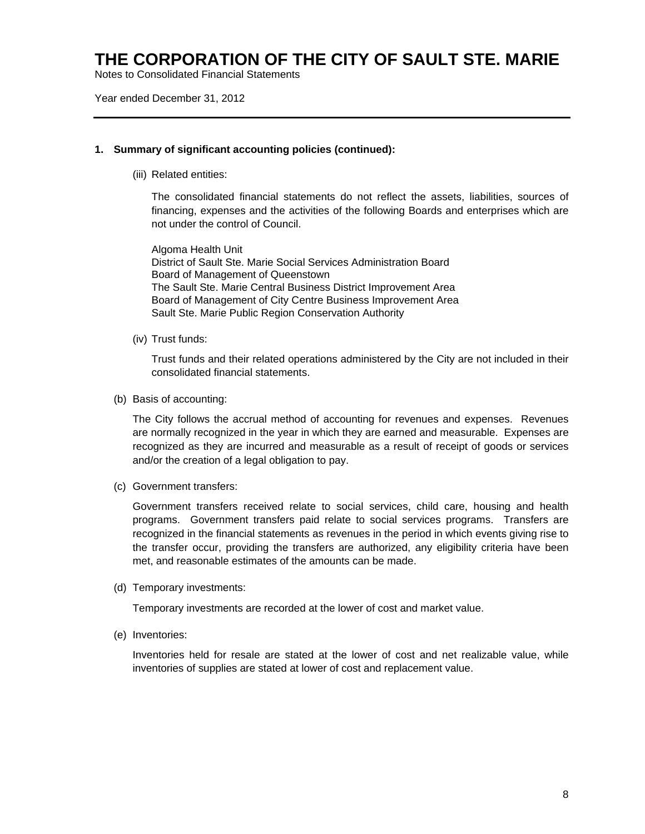Notes to Consolidated Financial Statements

Year ended December 31, 2012

#### **1. Summary of significant accounting policies (continued):**

(iii) Related entities:

 The consolidated financial statements do not reflect the assets, liabilities, sources of financing, expenses and the activities of the following Boards and enterprises which are not under the control of Council.

 Algoma Health Unit District of Sault Ste. Marie Social Services Administration Board Board of Management of Queenstown The Sault Ste. Marie Central Business District Improvement Area Board of Management of City Centre Business Improvement Area Sault Ste. Marie Public Region Conservation Authority

(iv) Trust funds:

Trust funds and their related operations administered by the City are not included in their consolidated financial statements.

(b) Basis of accounting:

The City follows the accrual method of accounting for revenues and expenses. Revenues are normally recognized in the year in which they are earned and measurable. Expenses are recognized as they are incurred and measurable as a result of receipt of goods or services and/or the creation of a legal obligation to pay.

(c) Government transfers:

Government transfers received relate to social services, child care, housing and health programs. Government transfers paid relate to social services programs. Transfers are recognized in the financial statements as revenues in the period in which events giving rise to the transfer occur, providing the transfers are authorized, any eligibility criteria have been met, and reasonable estimates of the amounts can be made.

(d) Temporary investments:

Temporary investments are recorded at the lower of cost and market value.

(e) Inventories:

Inventories held for resale are stated at the lower of cost and net realizable value, while inventories of supplies are stated at lower of cost and replacement value.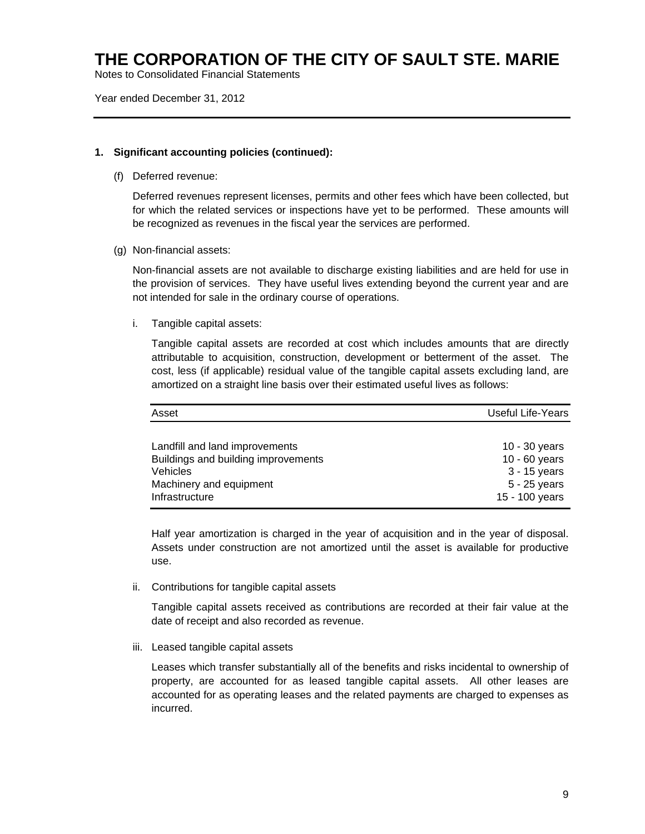Notes to Consolidated Financial Statements

Year ended December 31, 2012

## **1. Significant accounting policies (continued):**

(f) Deferred revenue:

Deferred revenues represent licenses, permits and other fees which have been collected, but for which the related services or inspections have yet to be performed. These amounts will be recognized as revenues in the fiscal year the services are performed.

(g) Non-financial assets:

 Non-financial assets are not available to discharge existing liabilities and are held for use in the provision of services. They have useful lives extending beyond the current year and are not intended for sale in the ordinary course of operations.

# i. Tangible capital assets:

Tangible capital assets are recorded at cost which includes amounts that are directly attributable to acquisition, construction, development or betterment of the asset. The cost, less (if applicable) residual value of the tangible capital assets excluding land, are amortized on a straight line basis over their estimated useful lives as follows:

| Asset                               | Useful Life-Years |
|-------------------------------------|-------------------|
|                                     |                   |
| Landfill and land improvements      | 10 - 30 years     |
| Buildings and building improvements | $10 - 60$ years   |
| Vehicles                            | 3 - 15 years      |
| Machinery and equipment             | 5 - 25 years      |
| Infrastructure                      | 15 - 100 years    |

Half year amortization is charged in the year of acquisition and in the year of disposal. Assets under construction are not amortized until the asset is available for productive use.

ii. Contributions for tangible capital assets

Tangible capital assets received as contributions are recorded at their fair value at the date of receipt and also recorded as revenue.

iii. Leased tangible capital assets

Leases which transfer substantially all of the benefits and risks incidental to ownership of property, are accounted for as leased tangible capital assets. All other leases are accounted for as operating leases and the related payments are charged to expenses as incurred.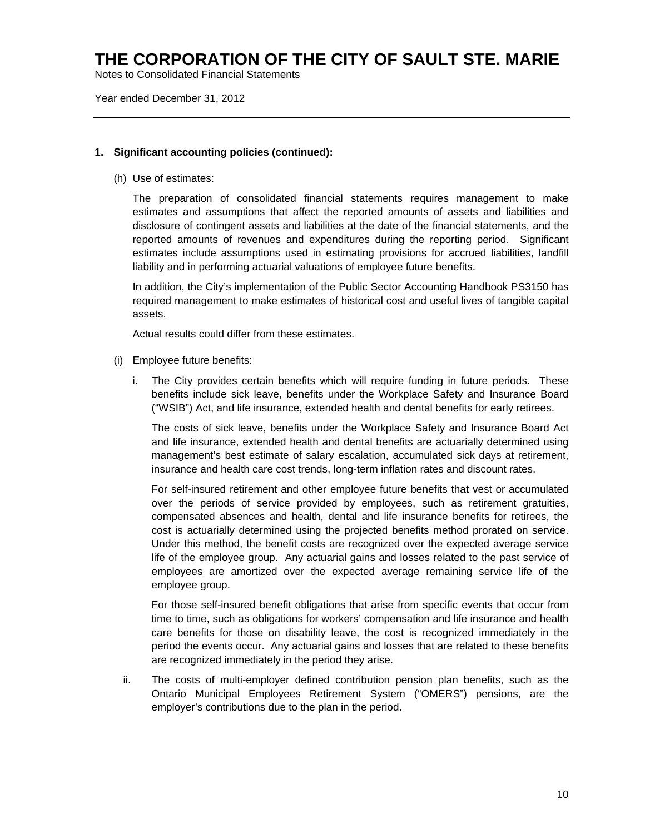Notes to Consolidated Financial Statements

Year ended December 31, 2012

## **1. Significant accounting policies (continued):**

(h) Use of estimates:

The preparation of consolidated financial statements requires management to make estimates and assumptions that affect the reported amounts of assets and liabilities and disclosure of contingent assets and liabilities at the date of the financial statements, and the reported amounts of revenues and expenditures during the reporting period. Significant estimates include assumptions used in estimating provisions for accrued liabilities, landfill liability and in performing actuarial valuations of employee future benefits.

In addition, the City's implementation of the Public Sector Accounting Handbook PS3150 has required management to make estimates of historical cost and useful lives of tangible capital assets.

Actual results could differ from these estimates.

- (i) Employee future benefits:
	- i. The City provides certain benefits which will require funding in future periods. These benefits include sick leave, benefits under the Workplace Safety and Insurance Board ("WSIB") Act, and life insurance, extended health and dental benefits for early retirees.

 The costs of sick leave, benefits under the Workplace Safety and Insurance Board Act and life insurance, extended health and dental benefits are actuarially determined using management's best estimate of salary escalation, accumulated sick days at retirement, insurance and health care cost trends, long-term inflation rates and discount rates.

 For self-insured retirement and other employee future benefits that vest or accumulated over the periods of service provided by employees, such as retirement gratuities, compensated absences and health, dental and life insurance benefits for retirees, the cost is actuarially determined using the projected benefits method prorated on service. Under this method, the benefit costs are recognized over the expected average service life of the employee group. Any actuarial gains and losses related to the past service of employees are amortized over the expected average remaining service life of the employee group.

 For those self-insured benefit obligations that arise from specific events that occur from time to time, such as obligations for workers' compensation and life insurance and health care benefits for those on disability leave, the cost is recognized immediately in the period the events occur. Any actuarial gains and losses that are related to these benefits are recognized immediately in the period they arise.

ii. The costs of multi-employer defined contribution pension plan benefits, such as the Ontario Municipal Employees Retirement System ("OMERS") pensions, are the employer's contributions due to the plan in the period.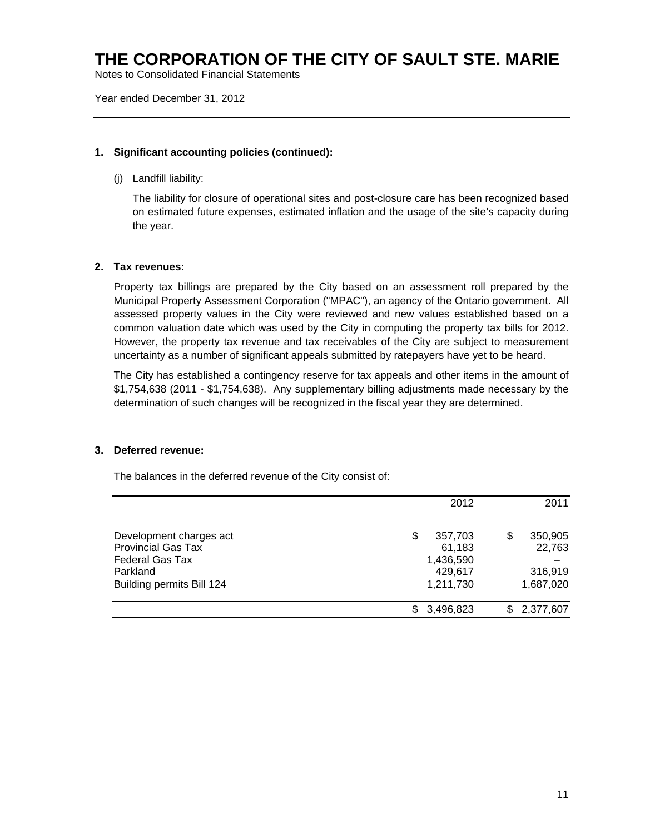Notes to Consolidated Financial Statements

Year ended December 31, 2012

# **1. Significant accounting policies (continued):**

(j) Landfill liability:

The liability for closure of operational sites and post-closure care has been recognized based on estimated future expenses, estimated inflation and the usage of the site's capacity during the year.

# **2. Tax revenues:**

Property tax billings are prepared by the City based on an assessment roll prepared by the Municipal Property Assessment Corporation ("MPAC"), an agency of the Ontario government. All assessed property values in the City were reviewed and new values established based on a common valuation date which was used by the City in computing the property tax bills for 2012. However, the property tax revenue and tax receivables of the City are subject to measurement uncertainty as a number of significant appeals submitted by ratepayers have yet to be heard.

The City has established a contingency reserve for tax appeals and other items in the amount of \$1,754,638 (2011 - \$1,754,638). Any supplementary billing adjustments made necessary by the determination of such changes will be recognized in the fiscal year they are determined.

## **3. Deferred revenue:**

The balances in the deferred revenue of the City consist of:

|                           | 2012          | 2011        |
|---------------------------|---------------|-------------|
| Development charges act   | 357,703<br>\$ | 350,905     |
| <b>Provincial Gas Tax</b> | 61,183        | 22,763      |
| <b>Federal Gas Tax</b>    | 1,436,590     |             |
| Parkland                  | 429,617       | 316,919     |
| Building permits Bill 124 | 1,211,730     | 1,687,020   |
|                           | 3,496,823     | \$2,377,607 |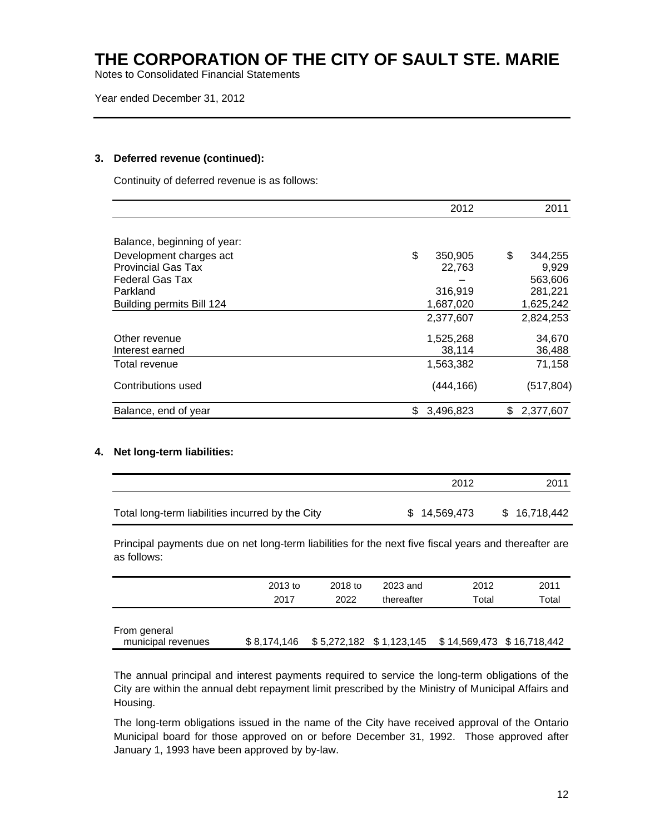Notes to Consolidated Financial Statements

#### **3. Deferred revenue (continued):**

Continuity of deferred revenue is as follows:

|                             |    | 2012       | 2011            |
|-----------------------------|----|------------|-----------------|
| Balance, beginning of year: |    |            |                 |
| Development charges act     | \$ | 350,905    | \$<br>344,255   |
| <b>Provincial Gas Tax</b>   |    | 22,763     | 9,929           |
| <b>Federal Gas Tax</b>      |    |            | 563,606         |
| Parkland                    |    | 316,919    | 281,221         |
| Building permits Bill 124   |    | 1,687,020  | 1,625,242       |
|                             |    | 2,377,607  | 2,824,253       |
| Other revenue               |    | 1,525,268  | 34,670          |
| Interest earned             |    | 38,114     | 36,488          |
| Total revenue               |    | 1,563,382  | 71,158          |
| Contributions used          |    | (444, 166) | (517, 804)      |
| Balance, end of year        | S. | 3,496,823  | \$<br>2,377,607 |

# **4. Net long-term liabilities:**

|                                                  | 2012         | 2011         |
|--------------------------------------------------|--------------|--------------|
| Total long-term liabilities incurred by the City | \$14,569,473 | \$16,718,442 |

Principal payments due on net long-term liabilities for the next five fiscal years and thereafter are as follows:

|                                    | 2013 to     | 2018 to | 2023 and   | 2012                                              | 2011  |
|------------------------------------|-------------|---------|------------|---------------------------------------------------|-------|
|                                    | 2017        | 2022    | thereafter | Total                                             | Total |
| From general<br>municipal revenues | \$8.174.146 |         |            | \$5,272,182 \$1,123,145 \$14,569,473 \$16,718,442 |       |

The annual principal and interest payments required to service the long-term obligations of the City are within the annual debt repayment limit prescribed by the Ministry of Municipal Affairs and Housing.

The long-term obligations issued in the name of the City have received approval of the Ontario Municipal board for those approved on or before December 31, 1992. Those approved after January 1, 1993 have been approved by by-law.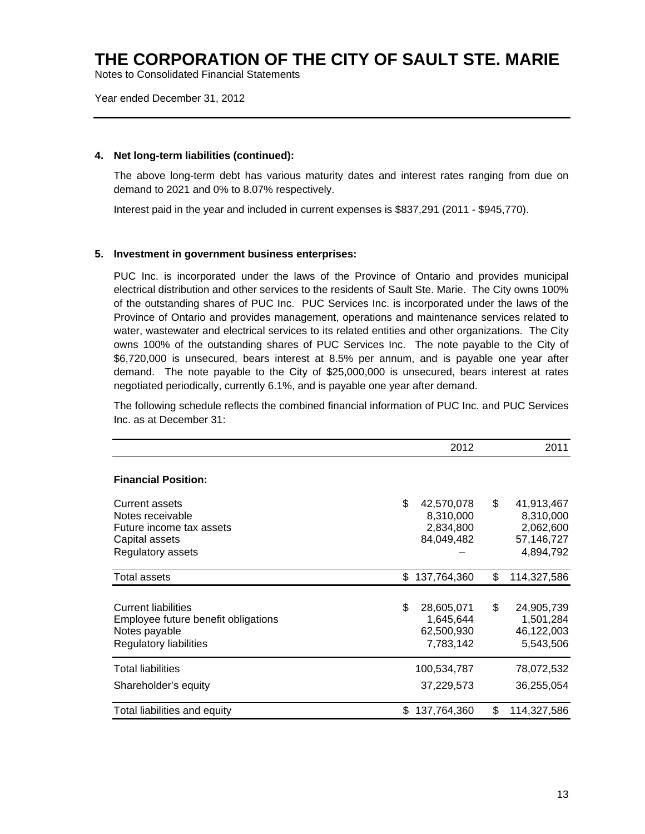Notes to Consolidated Financial Statements

Year ended December 31, 2012

## **4. Net long-term liabilities (continued):**

The above long-term debt has various maturity dates and interest rates ranging from due on demand to 2021 and 0% to 8.07% respectively.

Interest paid in the year and included in current expenses is \$837,291 (2011 - \$945,770).

## **5. Investment in government business enterprises:**

PUC Inc. is incorporated under the laws of the Province of Ontario and provides municipal electrical distribution and other services to the residents of Sault Ste. Marie. The City owns 100% of the outstanding shares of PUC Inc. PUC Services Inc. is incorporated under the laws of the Province of Ontario and provides management, operations and maintenance services related to water, wastewater and electrical services to its related entities and other organizations. The City owns 100% of the outstanding shares of PUC Services Inc. The note payable to the City of \$6,720,000 is unsecured, bears interest at 8.5% per annum, and is payable one year after demand. The note payable to the City of \$25,000,000 is unsecured, bears interest at rates negotiated periodically, currently 6.1%, and is payable one year after demand.

The following schedule reflects the combined financial information of PUC Inc. and PUC Services Inc. as at December 31:

|                                                                                                              |     | 2012                                               | 2011                                                                  |
|--------------------------------------------------------------------------------------------------------------|-----|----------------------------------------------------|-----------------------------------------------------------------------|
| <b>Financial Position:</b>                                                                                   |     |                                                    |                                                                       |
| Current assets<br>Notes receivable<br>Future income tax assets<br>Capital assets<br>Regulatory assets        | \$  | 42,570,078<br>8,310,000<br>2,834,800<br>84,049,482 | \$<br>41,913,467<br>8,310,000<br>2,062,600<br>57,146,727<br>4,894,792 |
| <b>Total assets</b>                                                                                          | \$. | 137,764,360                                        | \$<br>114,327,586                                                     |
| <b>Current liabilities</b><br>Employee future benefit obligations<br>Notes payable<br>Regulatory liabilities | \$  | 28,605,071<br>1,645,644<br>62,500,930<br>7,783,142 | \$<br>24,905,739<br>1,501,284<br>46,122,003<br>5,543,506              |
| <b>Total liabilities</b><br>Shareholder's equity                                                             |     | 100,534,787<br>37,229,573                          | 78,072,532<br>36,255,054                                              |
| Total liabilities and equity                                                                                 | \$. | 137,764,360                                        | \$<br>114,327,586                                                     |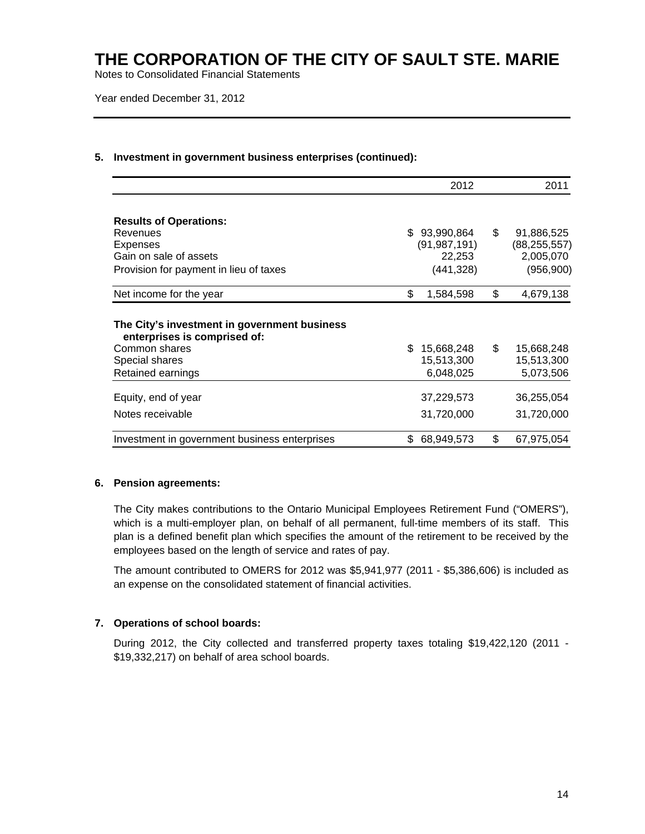Notes to Consolidated Financial Statements

Year ended December 31, 2012

## **5. Investment in government business enterprises (continued):**

|                                                                              | 2012             | 2011             |
|------------------------------------------------------------------------------|------------------|------------------|
| <b>Results of Operations:</b>                                                |                  |                  |
| Revenues                                                                     | \$<br>93,990,864 | \$<br>91,886,525 |
| <b>Expenses</b>                                                              | (91,987,191)     | (88, 255, 557)   |
| Gain on sale of assets                                                       | 22,253           | 2,005,070        |
| Provision for payment in lieu of taxes                                       | (441, 328)       | (956, 900)       |
| Net income for the year                                                      | \$<br>1,584,598  | \$<br>4,679,138  |
| The City's investment in government business<br>enterprises is comprised of: |                  |                  |
| Common shares                                                                | \$<br>15,668,248 | \$<br>15,668,248 |
| Special shares                                                               | 15,513,300       | 15,513,300       |
| Retained earnings                                                            | 6,048,025        | 5,073,506        |
| Equity, end of year                                                          | 37,229,573       | 36,255,054       |
| Notes receivable                                                             | 31,720,000       | 31,720,000       |
| Investment in government business enterprises                                | \$<br>68,949,573 | \$<br>67,975,054 |

## **6. Pension agreements:**

The City makes contributions to the Ontario Municipal Employees Retirement Fund ("OMERS"), which is a multi-employer plan, on behalf of all permanent, full-time members of its staff. This plan is a defined benefit plan which specifies the amount of the retirement to be received by the employees based on the length of service and rates of pay.

The amount contributed to OMERS for 2012 was \$5,941,977 (2011 - \$5,386,606) is included as an expense on the consolidated statement of financial activities.

## **7. Operations of school boards:**

During 2012, the City collected and transferred property taxes totaling \$19,422,120 (2011 - \$19,332,217) on behalf of area school boards.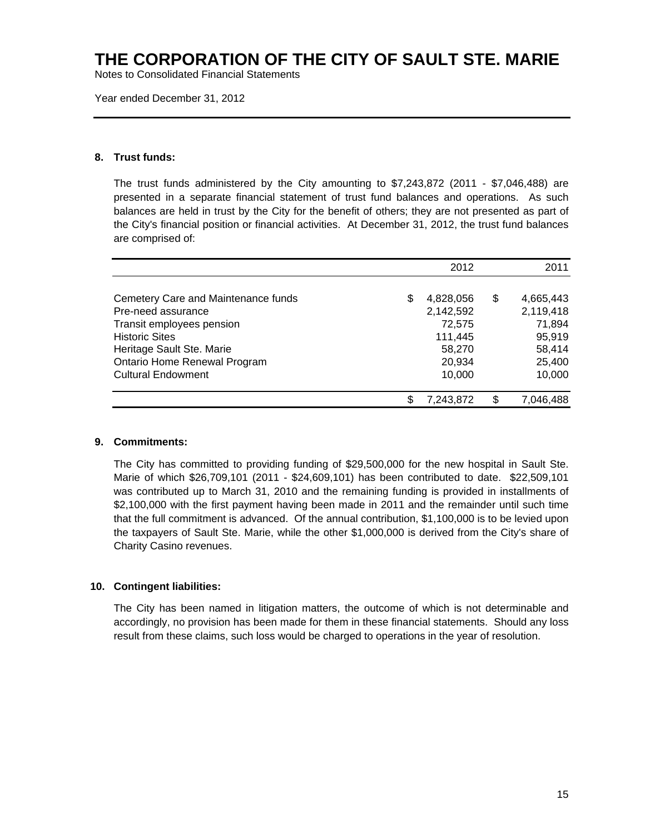Notes to Consolidated Financial Statements

Year ended December 31, 2012

# **8. Trust funds:**

The trust funds administered by the City amounting to \$7,243,872 (2011 - \$7,046,488) are presented in a separate financial statement of trust fund balances and operations. As such balances are held in trust by the City for the benefit of others; they are not presented as part of the City's financial position or financial activities. At December 31, 2012, the trust fund balances are comprised of:

|                                                           |   | 2012                   | 2011                         |
|-----------------------------------------------------------|---|------------------------|------------------------------|
|                                                           |   |                        |                              |
| Cemetery Care and Maintenance funds<br>Pre-need assurance | S | 4,828,056<br>2,142,592 | \$<br>4,665,443<br>2,119,418 |
|                                                           |   |                        |                              |
| Transit employees pension                                 |   | 72,575                 | 71,894                       |
| <b>Historic Sites</b>                                     |   | 111,445                | 95,919                       |
| Heritage Sault Ste. Marie                                 |   | 58,270                 | 58,414                       |
| Ontario Home Renewal Program                              |   | 20,934                 | 25,400                       |
| <b>Cultural Endowment</b>                                 |   | 10,000                 | 10,000                       |
|                                                           |   | 7,243,872              | \$<br>7,046,488              |

## **9. Commitments:**

The City has committed to providing funding of \$29,500,000 for the new hospital in Sault Ste. Marie of which \$26,709,101 (2011 - \$24,609,101) has been contributed to date. \$22,509,101 was contributed up to March 31, 2010 and the remaining funding is provided in installments of \$2,100,000 with the first payment having been made in 2011 and the remainder until such time that the full commitment is advanced. Of the annual contribution, \$1,100,000 is to be levied upon the taxpayers of Sault Ste. Marie, while the other \$1,000,000 is derived from the City's share of Charity Casino revenues.

## **10. Contingent liabilities:**

The City has been named in litigation matters, the outcome of which is not determinable and accordingly, no provision has been made for them in these financial statements. Should any loss result from these claims, such loss would be charged to operations in the year of resolution.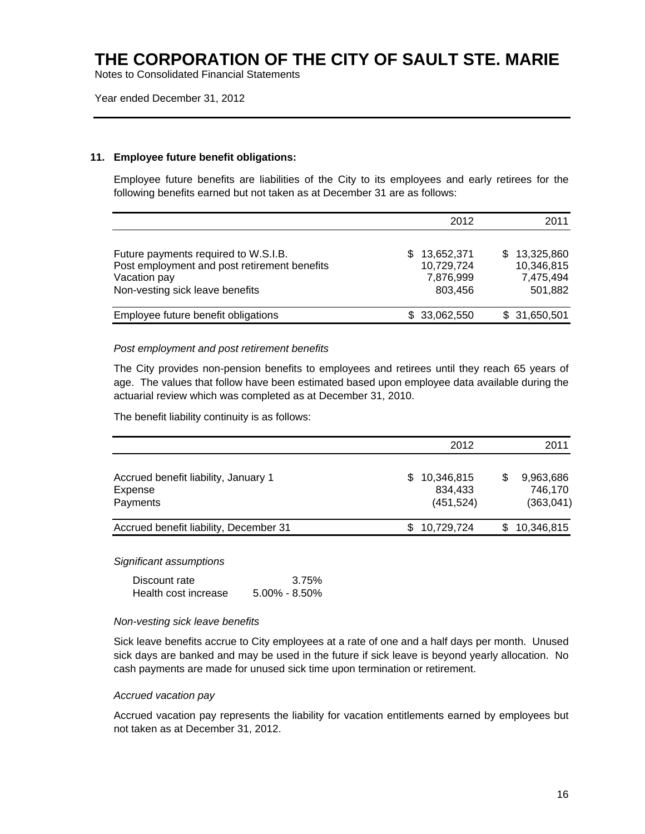Notes to Consolidated Financial Statements

#### **11. Employee future benefit obligations:**

Employee future benefits are liabilities of the City to its employees and early retirees for the following benefits earned but not taken as at December 31 are as follows:

|                                                                                                                                         | 2012                                                   | 2011                                                    |
|-----------------------------------------------------------------------------------------------------------------------------------------|--------------------------------------------------------|---------------------------------------------------------|
| Future payments required to W.S.I.B.<br>Post employment and post retirement benefits<br>Vacation pay<br>Non-vesting sick leave benefits | 13,652,371<br>S.<br>10,729,724<br>7,876,999<br>803.456 | 13,325,860<br>SS.<br>10,346,815<br>7,475,494<br>501,882 |
| Employee future benefit obligations                                                                                                     | \$33,062,550                                           | \$ 31,650,501                                           |

#### *Post employment and post retirement benefits*

The City provides non-pension benefits to employees and retirees until they reach 65 years of age. The values that follow have been estimated based upon employee data available during the actuarial review which was completed as at December 31, 2010.

The benefit liability continuity is as follows:

|                                                             |    | 2012                                | 2011                                    |
|-------------------------------------------------------------|----|-------------------------------------|-----------------------------------------|
| Accrued benefit liability, January 1<br>Expense<br>Payments | S. | 10,346,815<br>834,433<br>(451, 524) | \$<br>9,963,686<br>746,170<br>(363,041) |
| Accrued benefit liability, December 31                      | S. | 10,729,724                          | \$10,346,815                            |

*Significant assumptions* 

| Discount rate        | 3.75%             |
|----------------------|-------------------|
| Health cost increase | $5.00\% - 8.50\%$ |

#### *Non-vesting sick leave benefits*

Sick leave benefits accrue to City employees at a rate of one and a half days per month. Unused sick days are banked and may be used in the future if sick leave is beyond yearly allocation. No cash payments are made for unused sick time upon termination or retirement.

#### *Accrued vacation pay*

Accrued vacation pay represents the liability for vacation entitlements earned by employees but not taken as at December 31, 2012.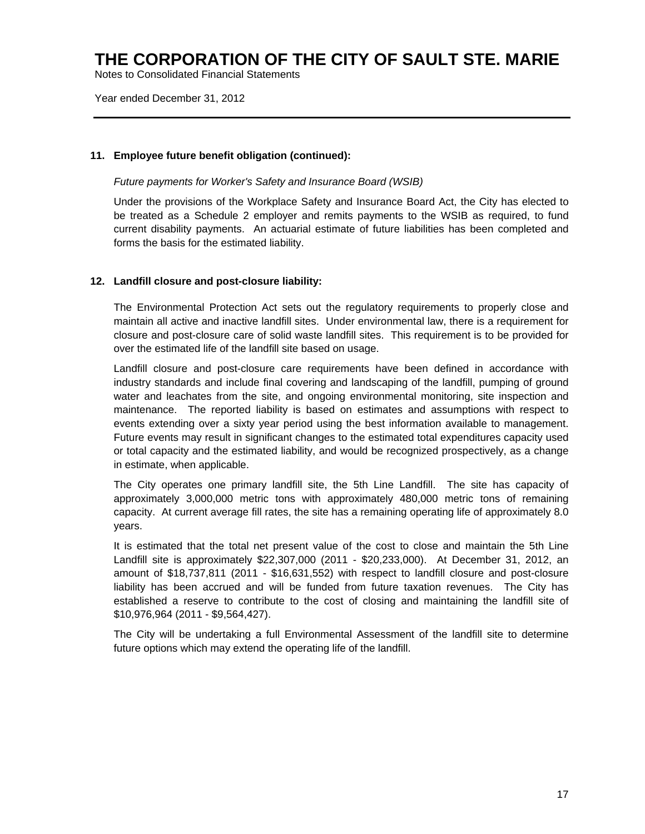Notes to Consolidated Financial Statements

Year ended December 31, 2012

## **11. Employee future benefit obligation (continued):**

*Future payments for Worker's Safety and Insurance Board (WSIB)* 

Under the provisions of the Workplace Safety and Insurance Board Act, the City has elected to be treated as a Schedule 2 employer and remits payments to the WSIB as required, to fund current disability payments. An actuarial estimate of future liabilities has been completed and forms the basis for the estimated liability.

# **12. Landfill closure and post-closure liability:**

The Environmental Protection Act sets out the regulatory requirements to properly close and maintain all active and inactive landfill sites. Under environmental law, there is a requirement for closure and post-closure care of solid waste landfill sites. This requirement is to be provided for over the estimated life of the landfill site based on usage.

Landfill closure and post-closure care requirements have been defined in accordance with industry standards and include final covering and landscaping of the landfill, pumping of ground water and leachates from the site, and ongoing environmental monitoring, site inspection and maintenance. The reported liability is based on estimates and assumptions with respect to events extending over a sixty year period using the best information available to management. Future events may result in significant changes to the estimated total expenditures capacity used or total capacity and the estimated liability, and would be recognized prospectively, as a change in estimate, when applicable.

The City operates one primary landfill site, the 5th Line Landfill. The site has capacity of approximately 3,000,000 metric tons with approximately 480,000 metric tons of remaining capacity. At current average fill rates, the site has a remaining operating life of approximately 8.0 years.

It is estimated that the total net present value of the cost to close and maintain the 5th Line Landfill site is approximately \$22,307,000 (2011 - \$20,233,000). At December 31, 2012, an amount of \$18,737,811 (2011 - \$16,631,552) with respect to landfill closure and post-closure liability has been accrued and will be funded from future taxation revenues. The City has established a reserve to contribute to the cost of closing and maintaining the landfill site of \$10,976,964 (2011 - \$9,564,427).

The City will be undertaking a full Environmental Assessment of the landfill site to determine future options which may extend the operating life of the landfill.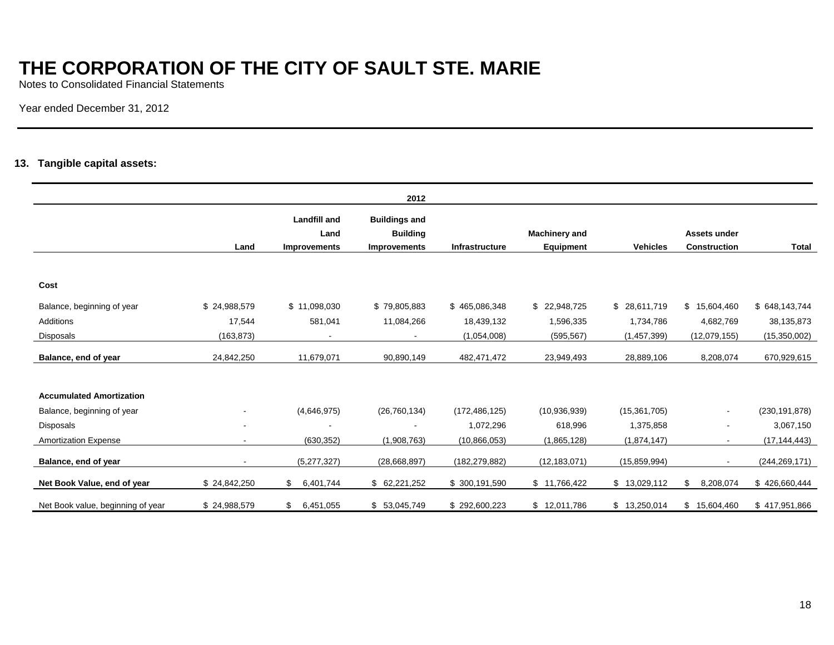Notes to Consolidated Financial Statements

Year ended December 31, 2012

# **13. Tangible capital assets:**

|                                   |                          |                                                    | 2012                                                           |                 |                                          |                 |                                     |                 |
|-----------------------------------|--------------------------|----------------------------------------------------|----------------------------------------------------------------|-----------------|------------------------------------------|-----------------|-------------------------------------|-----------------|
|                                   | Land                     | <b>Landfill and</b><br>Land<br><b>Improvements</b> | <b>Buildings and</b><br><b>Building</b><br><b>Improvements</b> | Infrastructure  | <b>Machinery and</b><br><b>Equipment</b> | <b>Vehicles</b> | Assets under<br><b>Construction</b> | <b>Total</b>    |
| Cost                              |                          |                                                    |                                                                |                 |                                          |                 |                                     |                 |
| Balance, beginning of year        | \$24,988,579             | \$11,098,030                                       | \$79,805,883                                                   | \$465,086,348   | \$22,948,725                             | \$ 28,611,719   | \$15,604,460                        | \$648,143,744   |
| Additions                         | 17,544                   | 581,041                                            | 11,084,266                                                     | 18,439,132      | 1,596,335                                | 1,734,786       | 4,682,769                           | 38,135,873      |
| Disposals                         | (163, 873)               |                                                    |                                                                | (1,054,008)     | (595, 567)                               | (1, 457, 399)   | (12,079,155)                        | (15,350,002)    |
| Balance, end of year              | 24,842,250               | 11,679,071                                         | 90,890,149                                                     | 482,471,472     | 23,949,493                               | 28,889,106      | 8,208,074                           | 670,929,615     |
| <b>Accumulated Amortization</b>   |                          |                                                    |                                                                |                 |                                          |                 |                                     |                 |
| Balance, beginning of year        | $\overline{\phantom{a}}$ | (4,646,975)                                        | (26, 760, 134)                                                 | (172, 486, 125) | (10,936,939)                             | (15,361,705)    | $\overline{\phantom{a}}$            | (230, 191, 878) |
| <b>Disposals</b>                  | $\overline{\phantom{a}}$ |                                                    |                                                                | 1,072,296       | 618,996                                  | 1,375,858       | ٠                                   | 3,067,150       |
| <b>Amortization Expense</b>       | $\sim$                   | (630, 352)                                         | (1,908,763)                                                    | (10, 866, 053)  | (1,865,128)                              | (1,874,147)     | $\blacksquare$                      | (17, 144, 443)  |
| Balance, end of year              | $\sim$                   | (5,277,327)                                        | (28,668,897)                                                   | (182, 279, 882) | (12, 183, 071)                           | (15, 859, 994)  | $\blacksquare$                      | (244, 269, 171) |
| Net Book Value, end of year       | \$24,842,250             | $\mathbb{S}$<br>6,401,744                          | \$62,221,252                                                   | \$300,191,590   | \$11,766,422                             | \$13,029,112    | \$<br>8,208,074                     | \$426,660,444   |
| Net Book value, beginning of year | \$24,988,579             | \$6,451,055                                        | \$53,045,749                                                   | \$292,600,223   | \$12,011,786                             | \$13,250,014    | \$15,604,460                        | \$417,951,866   |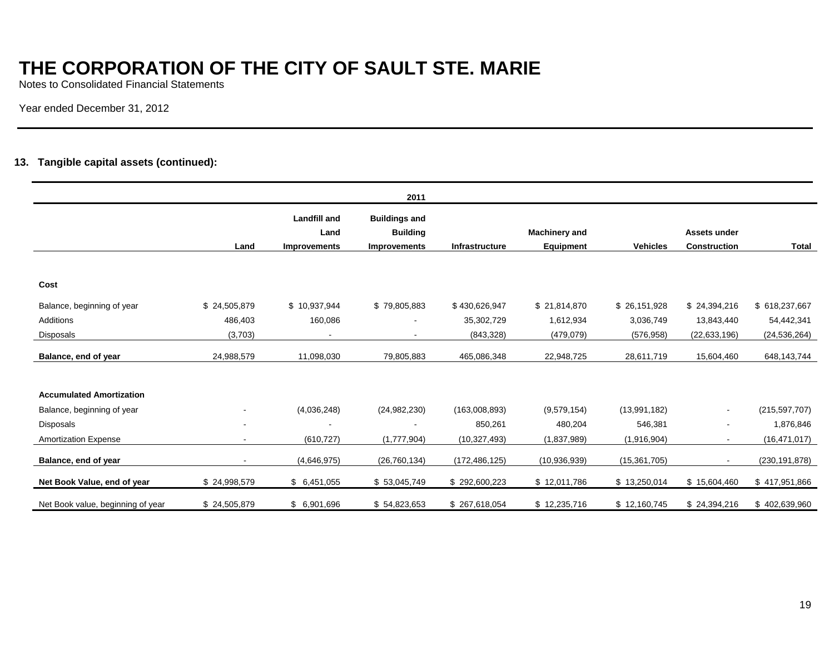Notes to Consolidated Financial Statements

Year ended December 31, 2012

# **13. Tangible capital assets (continued):**

|                                   |              |                                                    | 2011                                                           |                 |                                          |                 |                                     |                 |
|-----------------------------------|--------------|----------------------------------------------------|----------------------------------------------------------------|-----------------|------------------------------------------|-----------------|-------------------------------------|-----------------|
|                                   | Land         | <b>Landfill and</b><br>Land<br><b>Improvements</b> | <b>Buildings and</b><br><b>Building</b><br><b>Improvements</b> | Infrastructure  | <b>Machinery and</b><br><b>Equipment</b> | <b>Vehicles</b> | Assets under<br><b>Construction</b> | <b>Total</b>    |
| Cost                              |              |                                                    |                                                                |                 |                                          |                 |                                     |                 |
| Balance, beginning of year        | \$24,505,879 | \$10,937,944                                       | \$79,805,883                                                   | \$430,626,947   | \$21,814,870                             | \$26,151,928    | \$24,394,216                        | \$618,237,667   |
| Additions                         | 486,403      | 160,086                                            |                                                                | 35,302,729      | 1,612,934                                | 3,036,749       | 13,843,440                          | 54,442,341      |
| Disposals                         | (3,703)      |                                                    |                                                                | (843, 328)      | (479, 079)                               | (576, 958)      | (22, 633, 196)                      | (24, 536, 264)  |
| Balance, end of year              | 24,988,579   | 11,098,030                                         | 79,805,883                                                     | 465,086,348     | 22,948,725                               | 28,611,719      | 15,604,460                          | 648,143,744     |
| <b>Accumulated Amortization</b>   |              |                                                    |                                                                |                 |                                          |                 |                                     |                 |
| Balance, beginning of year        |              | (4,036,248)                                        | (24, 982, 230)                                                 | (163,008,893)   | (9,579,154)                              | (13,991,182)    | $\sim$                              | (215, 597, 707) |
| <b>Disposals</b>                  |              |                                                    |                                                                | 850,261         | 480,204                                  | 546,381         |                                     | 1,876,846       |
| <b>Amortization Expense</b>       |              | (610, 727)                                         | (1,777,904)                                                    | (10, 327, 493)  | (1,837,989)                              | (1,916,904)     | $\sim$                              | (16, 471, 017)  |
| Balance, end of year              |              | (4,646,975)                                        | (26, 760, 134)                                                 | (172, 486, 125) | (10, 936, 939)                           | (15, 361, 705)  | $\blacksquare$                      | (230, 191, 878) |
| Net Book Value, end of year       | \$24,998,579 | \$6,451,055                                        | \$53,045,749                                                   | \$292,600,223   | \$12,011,786                             | \$13,250,014    | \$15,604,460                        | \$417,951,866   |
| Net Book value, beginning of year | \$24,505,879 | \$6,901,696                                        | \$54,823,653                                                   | \$267,618,054   | \$12,235,716                             | \$12,160,745    | \$24,394,216                        | \$402,639,960   |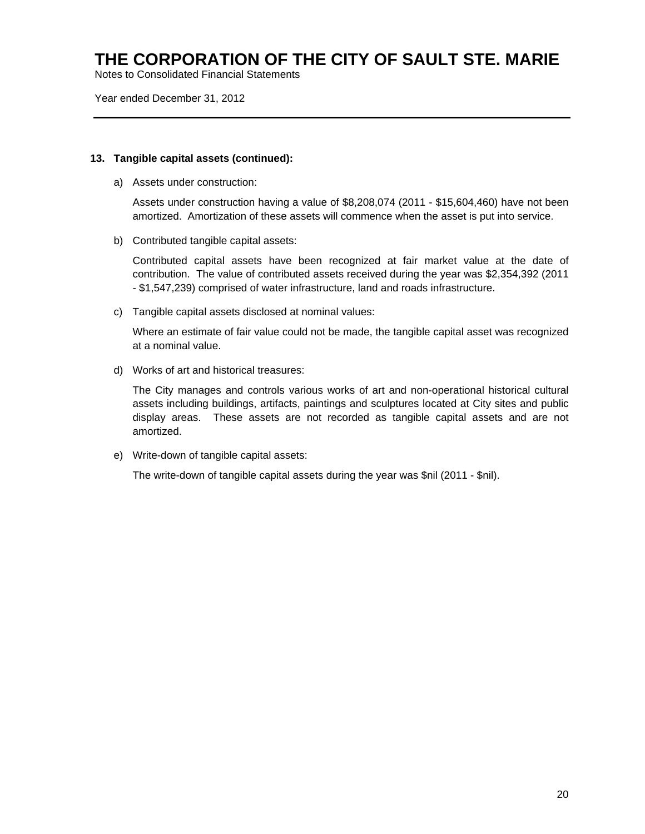Notes to Consolidated Financial Statements

Year ended December 31, 2012

#### **13. Tangible capital assets (continued):**

a) Assets under construction:

Assets under construction having a value of \$8,208,074 (2011 - \$15,604,460) have not been amortized. Amortization of these assets will commence when the asset is put into service.

b) Contributed tangible capital assets:

Contributed capital assets have been recognized at fair market value at the date of contribution. The value of contributed assets received during the year was \$2,354,392 (2011 - \$1,547,239) comprised of water infrastructure, land and roads infrastructure.

c) Tangible capital assets disclosed at nominal values:

Where an estimate of fair value could not be made, the tangible capital asset was recognized at a nominal value.

d) Works of art and historical treasures:

The City manages and controls various works of art and non-operational historical cultural assets including buildings, artifacts, paintings and sculptures located at City sites and public display areas. These assets are not recorded as tangible capital assets and are not amortized.

e) Write-down of tangible capital assets:

The write-down of tangible capital assets during the year was \$nil (2011 - \$nil).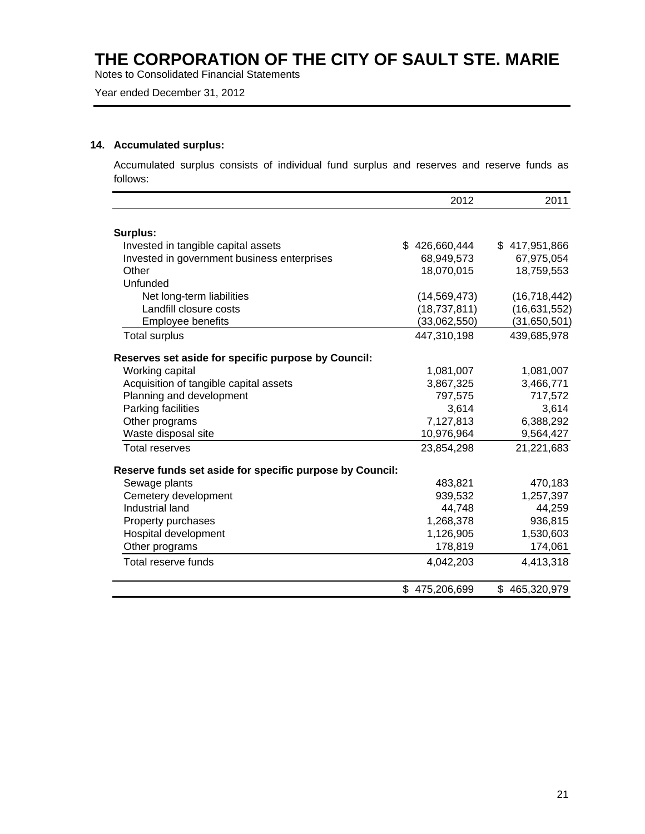Notes to Consolidated Financial Statements

# **14. Accumulated surplus:**

Accumulated surplus consists of individual fund surplus and reserves and reserve funds as follows:

|                                                          | 2012           | 2011           |
|----------------------------------------------------------|----------------|----------------|
|                                                          |                |                |
| <b>Surplus:</b>                                          |                |                |
| Invested in tangible capital assets                      | \$426,660,444  | \$417,951,866  |
| Invested in government business enterprises<br>Other     | 68,949,573     | 67,975,054     |
| Unfunded                                                 | 18,070,015     | 18,759,553     |
|                                                          |                |                |
| Net long-term liabilities<br>Landfill closure costs      | (14, 569, 473) | (16, 718, 442) |
|                                                          | (18, 737, 811) | (16,631,552)   |
| Employee benefits                                        | (33,062,550)   | (31,650,501)   |
| <b>Total surplus</b>                                     | 447,310,198    | 439,685,978    |
| Reserves set aside for specific purpose by Council:      |                |                |
| Working capital                                          | 1,081,007      | 1,081,007      |
| Acquisition of tangible capital assets                   | 3,867,325      | 3,466,771      |
| Planning and development                                 | 797,575        | 717,572        |
| Parking facilities                                       | 3,614          | 3,614          |
| Other programs                                           | 7,127,813      | 6,388,292      |
| Waste disposal site                                      | 10,976,964     | 9,564,427      |
| <b>Total reserves</b>                                    | 23,854,298     | 21,221,683     |
| Reserve funds set aside for specific purpose by Council: |                |                |
| Sewage plants                                            | 483,821        | 470,183        |
| Cemetery development                                     | 939,532        | 1,257,397      |
| Industrial land                                          | 44,748         | 44,259         |
| Property purchases                                       | 1,268,378      | 936,815        |
| Hospital development                                     | 1,126,905      | 1,530,603      |
| Other programs                                           | 178,819        | 174,061        |
| Total reserve funds                                      | 4,042,203      | 4,413,318      |
|                                                          | \$475,206,699  | \$465,320,979  |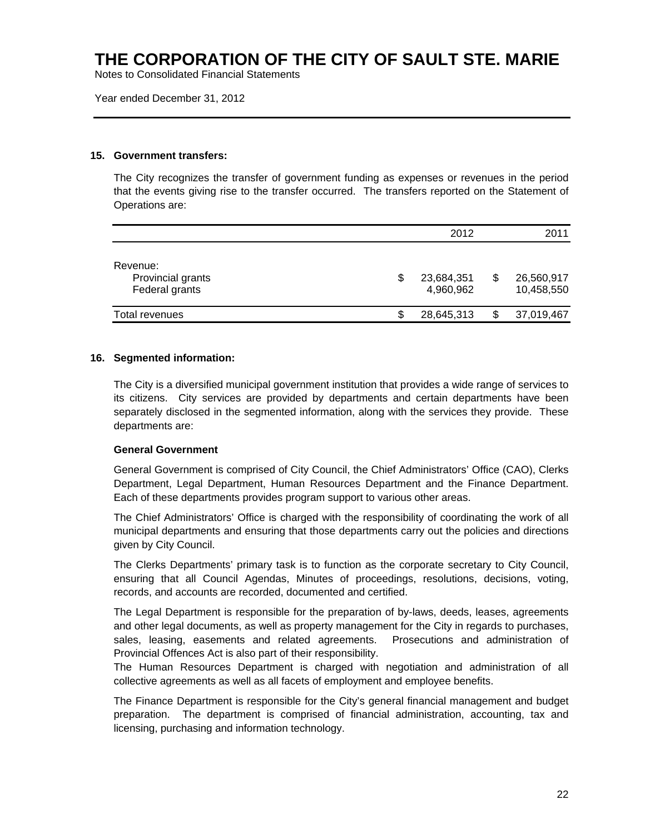Notes to Consolidated Financial Statements

Year ended December 31, 2012

## **15. Government transfers:**

The City recognizes the transfer of government funding as expenses or revenues in the period that the events giving rise to the transfer occurred. The transfers reported on the Statement of Operations are:

|                                                 | 2012                    | 2011                           |
|-------------------------------------------------|-------------------------|--------------------------------|
| Revenue:<br>Provincial grants<br>Federal grants | 23,684,351<br>4,960,962 | \$<br>26,560,917<br>10,458,550 |
| Total revenues                                  | 28,645,313              | 37,019,467                     |

## **16. Segmented information:**

The City is a diversified municipal government institution that provides a wide range of services to its citizens. City services are provided by departments and certain departments have been separately disclosed in the segmented information, along with the services they provide. These departments are:

## **General Government**

General Government is comprised of City Council, the Chief Administrators' Office (CAO), Clerks Department, Legal Department, Human Resources Department and the Finance Department. Each of these departments provides program support to various other areas.

The Chief Administrators' Office is charged with the responsibility of coordinating the work of all municipal departments and ensuring that those departments carry out the policies and directions given by City Council.

The Clerks Departments' primary task is to function as the corporate secretary to City Council, ensuring that all Council Agendas, Minutes of proceedings, resolutions, decisions, voting, records, and accounts are recorded, documented and certified.

The Legal Department is responsible for the preparation of by-laws, deeds, leases, agreements and other legal documents, as well as property management for the City in regards to purchases, sales, leasing, easements and related agreements. Prosecutions and administration of Provincial Offences Act is also part of their responsibility.

The Human Resources Department is charged with negotiation and administration of all collective agreements as well as all facets of employment and employee benefits.

The Finance Department is responsible for the City's general financial management and budget preparation. The department is comprised of financial administration, accounting, tax and licensing, purchasing and information technology.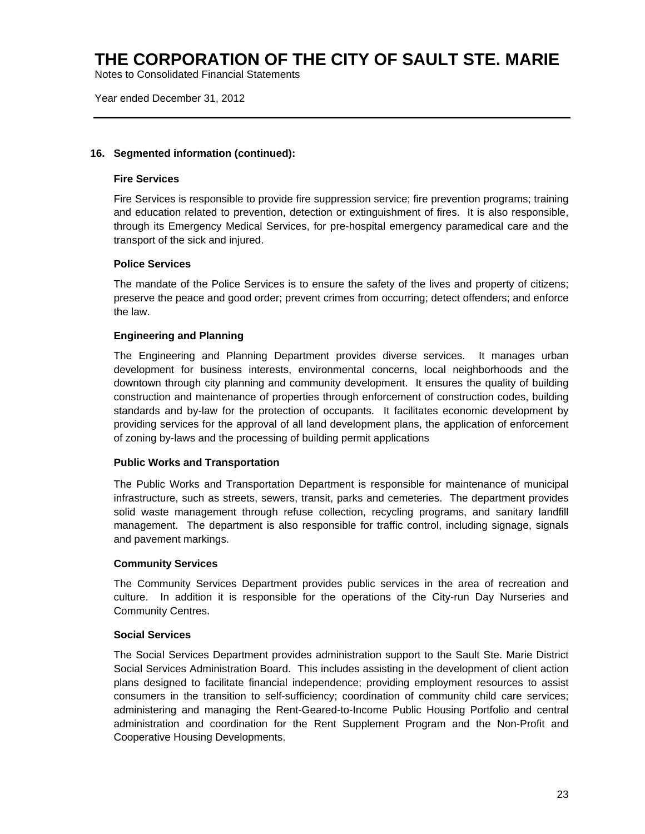Notes to Consolidated Financial Statements

Year ended December 31, 2012

## **16. Segmented information (continued):**

## **Fire Services**

Fire Services is responsible to provide fire suppression service; fire prevention programs; training and education related to prevention, detection or extinguishment of fires. It is also responsible, through its Emergency Medical Services, for pre-hospital emergency paramedical care and the transport of the sick and injured.

## **Police Services**

The mandate of the Police Services is to ensure the safety of the lives and property of citizens; preserve the peace and good order; prevent crimes from occurring; detect offenders; and enforce the law.

# **Engineering and Planning**

The Engineering and Planning Department provides diverse services. It manages urban development for business interests, environmental concerns, local neighborhoods and the downtown through city planning and community development. It ensures the quality of building construction and maintenance of properties through enforcement of construction codes, building standards and by-law for the protection of occupants. It facilitates economic development by providing services for the approval of all land development plans, the application of enforcement of zoning by-laws and the processing of building permit applications

## **Public Works and Transportation**

The Public Works and Transportation Department is responsible for maintenance of municipal infrastructure, such as streets, sewers, transit, parks and cemeteries. The department provides solid waste management through refuse collection, recycling programs, and sanitary landfill management. The department is also responsible for traffic control, including signage, signals and pavement markings.

## **Community Services**

The Community Services Department provides public services in the area of recreation and culture. In addition it is responsible for the operations of the City-run Day Nurseries and Community Centres.

## **Social Services**

The Social Services Department provides administration support to the Sault Ste. Marie District Social Services Administration Board. This includes assisting in the development of client action plans designed to facilitate financial independence; providing employment resources to assist consumers in the transition to self-sufficiency; coordination of community child care services; administering and managing the Rent-Geared-to-Income Public Housing Portfolio and central administration and coordination for the Rent Supplement Program and the Non-Profit and Cooperative Housing Developments.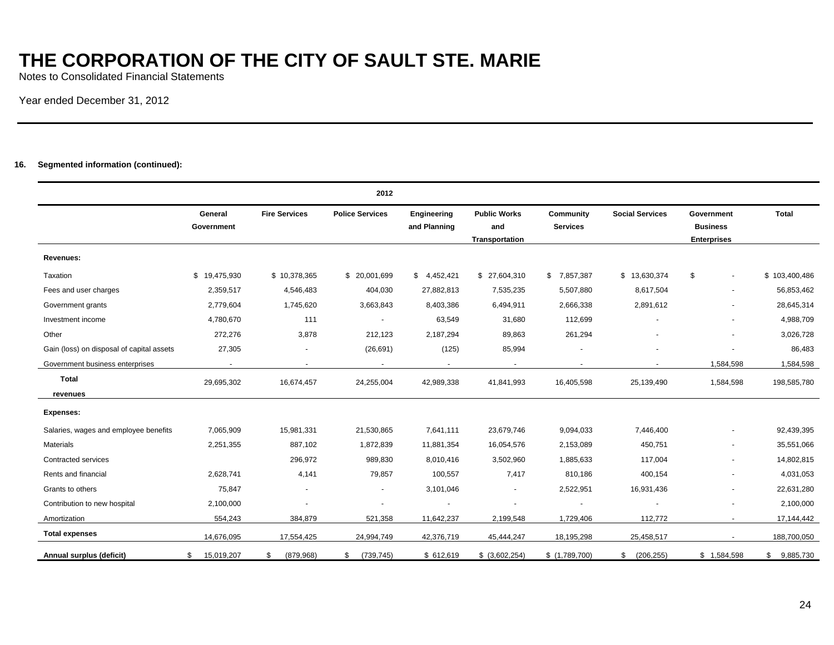Notes to Consolidated Financial Statements

Year ended December 31, 2012

#### **16. Segmented information (continued):**

|                                           |                       |                          | 2012                     |                             |                                              |                              |                        |                                                     |                 |
|-------------------------------------------|-----------------------|--------------------------|--------------------------|-----------------------------|----------------------------------------------|------------------------------|------------------------|-----------------------------------------------------|-----------------|
|                                           | General<br>Government | <b>Fire Services</b>     | <b>Police Services</b>   | Engineering<br>and Planning | <b>Public Works</b><br>and<br>Transportation | Community<br><b>Services</b> | <b>Social Services</b> | Government<br><b>Business</b><br><b>Enterprises</b> | <b>Total</b>    |
| Revenues:                                 |                       |                          |                          |                             |                                              |                              |                        |                                                     |                 |
| Taxation                                  | \$19,475,930          | \$10,378,365             | \$ 20,001,699            | \$4,452,421                 | \$ 27,604,310                                | \$7,857,387                  | \$13,630,374           | \$<br>$\blacksquare$                                | \$103,400,486   |
| Fees and user charges                     | 2,359,517             | 4,546,483                | 404,030                  | 27,882,813                  | 7,535,235                                    | 5,507,880                    | 8,617,504              | $\blacksquare$                                      | 56,853,462      |
| Government grants                         | 2,779,604             | 1,745,620                | 3,663,843                | 8,403,386                   | 6,494,911                                    | 2,666,338                    | 2,891,612              | $\overline{\phantom{a}}$                            | 28,645,314      |
| Investment income                         | 4,780,670             | 111                      | $\blacksquare$           | 63,549                      | 31,680                                       | 112,699                      |                        | $\overline{\phantom{a}}$                            | 4,988,709       |
| Other                                     | 272,276               | 3,878                    | 212,123                  | 2,187,294                   | 89,863                                       | 261,294                      |                        | $\overline{\phantom{a}}$                            | 3,026,728       |
| Gain (loss) on disposal of capital assets | 27,305                |                          | (26, 691)                | (125)                       | 85,994                                       |                              |                        |                                                     | 86,483          |
| Government business enterprises           |                       |                          | $\overline{\phantom{a}}$ |                             |                                              |                              |                        | 1,584,598                                           | 1,584,598       |
| <b>Total</b>                              | 29,695,302            | 16,674,457               | 24,255,004               | 42,989,338                  | 41,841,993                                   | 16,405,598                   | 25,139,490             | 1,584,598                                           | 198,585,780     |
| revenues                                  |                       |                          |                          |                             |                                              |                              |                        |                                                     |                 |
| <b>Expenses:</b>                          |                       |                          |                          |                             |                                              |                              |                        |                                                     |                 |
| Salaries, wages and employee benefits     | 7,065,909             | 15,981,331               | 21,530,865               | 7,641,111                   | 23,679,746                                   | 9,094,033                    | 7,446,400              |                                                     | 92,439,395      |
| Materials                                 | 2,251,355             | 887,102                  | 1,872,839                | 11,881,354                  | 16,054,576                                   | 2,153,089                    | 450,751                | $\blacksquare$                                      | 35,551,066      |
| Contracted services                       |                       | 296,972                  | 989,830                  | 8,010,416                   | 3,502,960                                    | 1,885,633                    | 117,004                |                                                     | 14,802,815      |
| Rents and financial                       | 2,628,741             | 4,141                    | 79,857                   | 100,557                     | 7,417                                        | 810,186                      | 400,154                | $\blacksquare$                                      | 4,031,053       |
| Grants to others                          | 75,847                | $\overline{\phantom{a}}$ | $\overline{\phantom{a}}$ | 3,101,046                   |                                              | 2,522,951                    | 16,931,436             |                                                     | 22,631,280      |
| Contribution to new hospital              | 2,100,000             |                          | $\blacksquare$           |                             |                                              |                              |                        |                                                     | 2,100,000       |
| Amortization                              | 554,243               | 384,879                  | 521,358                  | 11,642,237                  | 2,199,548                                    | 1,729,406                    | 112,772                |                                                     | 17,144,442      |
| <b>Total expenses</b>                     | 14,676,095            | 17,554,425               | 24,994,749               | 42,376,719                  | 45,444,247                                   | 18,195,298                   | 25,458,517             |                                                     | 188,700,050     |
| Annual surplus (deficit)                  | 15,019,207<br>\$      | \$<br>(879,968)          | (739, 745)<br>\$         | \$612,619                   | \$ (3,602,254)                               | \$(1,789,700)                | \$<br>(206, 255)       | \$1,584,598                                         | \$<br>9,885,730 |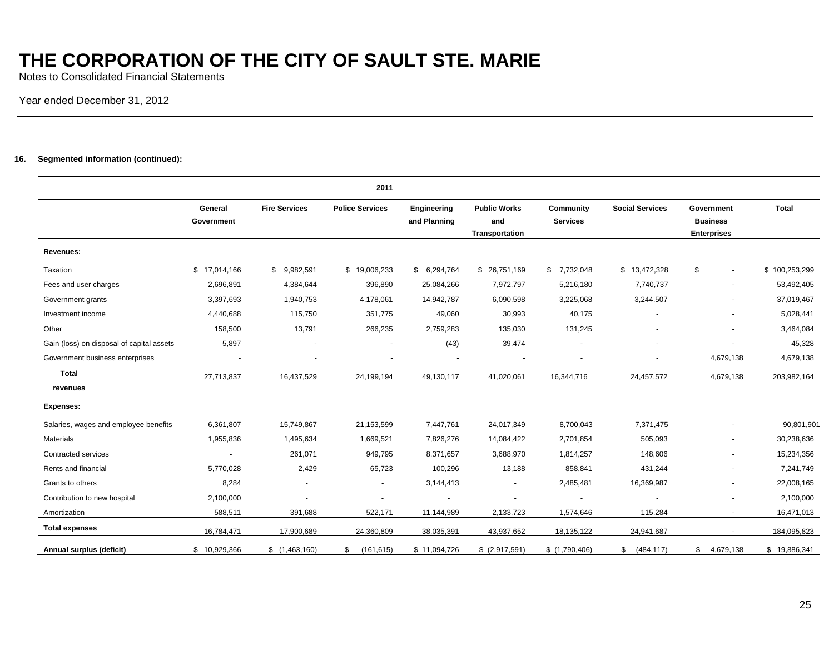Notes to Consolidated Financial Statements

Year ended December 31, 2012

#### **16. Segmented information (continued):**

|                                           |                       |                      | 2011                     |                             |                                              |                              |                          |                                                     |               |
|-------------------------------------------|-----------------------|----------------------|--------------------------|-----------------------------|----------------------------------------------|------------------------------|--------------------------|-----------------------------------------------------|---------------|
|                                           | General<br>Government | <b>Fire Services</b> | <b>Police Services</b>   | Engineering<br>and Planning | <b>Public Works</b><br>and<br>Transportation | Community<br><b>Services</b> | <b>Social Services</b>   | Government<br><b>Business</b><br><b>Enterprises</b> | <b>Total</b>  |
| <b>Revenues:</b>                          |                       |                      |                          |                             |                                              |                              |                          |                                                     |               |
| Taxation                                  | \$17,014,166          | \$9,982,591          | \$19,006,233             | \$ 6,294,764                | \$ 26,751,169                                | \$7,732,048                  | \$13,472,328             | \$<br>$\overline{\phantom{a}}$                      | \$100,253,299 |
| Fees and user charges                     | 2,696,891             | 4,384,644            | 396,890                  | 25,084,266                  | 7,972,797                                    | 5,216,180                    | 7,740,737                | $\overline{\phantom{a}}$                            | 53,492,405    |
| Government grants                         | 3,397,693             | 1,940,753            | 4,178,061                | 14,942,787                  | 6,090,598                                    | 3,225,068                    | 3,244,507                | $\overline{\phantom{a}}$                            | 37,019,467    |
| Investment income                         | 4,440,688             | 115,750              | 351,775                  | 49,060                      | 30,993                                       | 40,175                       |                          | ۰                                                   | 5,028,441     |
| Other                                     | 158,500               | 13,791               | 266,235                  | 2,759,283                   | 135,030                                      | 131,245                      |                          | $\blacksquare$                                      | 3,464,084     |
| Gain (loss) on disposal of capital assets | 5,897                 |                      |                          | (43)                        | 39,474                                       |                              | ٠                        |                                                     | 45,328        |
| Government business enterprises           |                       |                      |                          | $\sim$                      |                                              |                              | $\blacksquare$           | 4,679,138                                           | 4,679,138     |
| <b>Total</b>                              | 27,713,837            | 16,437,529           | 24,199,194               | 49,130,117                  | 41,020,061                                   | 16,344,716                   | 24,457,572               | 4,679,138                                           | 203,982,164   |
| revenues                                  |                       |                      |                          |                             |                                              |                              |                          |                                                     |               |
| <b>Expenses:</b>                          |                       |                      |                          |                             |                                              |                              |                          |                                                     |               |
| Salaries, wages and employee benefits     | 6,361,807             | 15,749,867           | 21,153,599               | 7,447,761                   | 24,017,349                                   | 8,700,043                    | 7,371,475                |                                                     | 90,801,901    |
| Materials                                 | 1,955,836             | 1,495,634            | 1,669,521                | 7,826,276                   | 14,084,422                                   | 2,701,854                    | 505,093                  | $\overline{\phantom{a}}$                            | 30,238,636    |
| Contracted services                       |                       | 261,071              | 949,795                  | 8,371,657                   | 3,688,970                                    | 1,814,257                    | 148,606                  | ۰                                                   | 15,234,356    |
| Rents and financial                       | 5,770,028             | 2,429                | 65,723                   | 100,296                     | 13,188                                       | 858,841                      | 431,244                  | $\overline{\phantom{a}}$                            | 7,241,749     |
| Grants to others                          | 8,284                 | $\blacksquare$       | $\overline{\phantom{a}}$ | 3,144,413                   |                                              | 2,485,481                    | 16,369,987               | $\blacksquare$                                      | 22,008,165    |
| Contribution to new hospital              | 2,100,000             |                      | $\overline{\phantom{a}}$ |                             |                                              | $\overline{\phantom{a}}$     | $\overline{\phantom{a}}$ | $\overline{\phantom{a}}$                            | 2,100,000     |
| Amortization                              | 588,511               | 391,688              | 522,171                  | 11,144,989                  | 2,133,723                                    | 1,574,646                    | 115,284                  | $\overline{\phantom{a}}$                            | 16,471,013    |
| <b>Total expenses</b>                     | 16,784,471            | 17,900,689           | 24,360,809               | 38,035,391                  | 43,937,652                                   | 18,135,122                   | 24,941,687               | $\blacksquare$                                      | 184,095,823   |
| Annual surplus (deficit)                  | \$10,929,366          | \$(1,463,160)        | \$<br>(161, 615)         | \$11,094,726                | $$$ (2,917,591)                              | \$(1,790,406)                | \$<br>(484, 117)         | 4,679,138<br>\$                                     | \$19,886,341  |